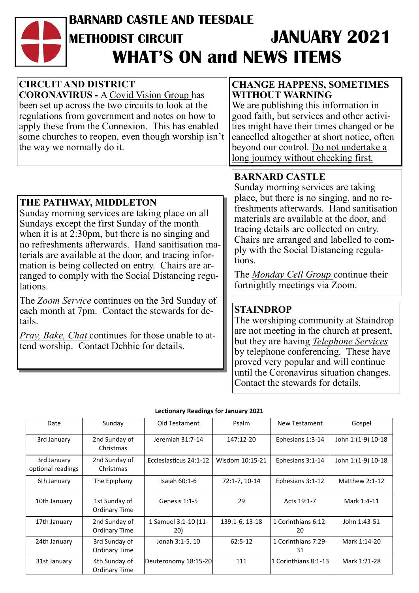# **BARNARD CASTLE AND TEESDALE METHODIST CIRCUIT JANUARY 2021 WHAT'S ON and NEWS ITEMS**

| <b>CIRCUIT AND DISTRICT</b><br><b>CORONAVIRUS - A Covid Vision Group has</b><br>been set up across the two circuits to look at the<br>regulations from government and notes on how to<br>apply these from the Connexion. This has enabled<br>some churches to reopen, even though worship isn't<br>the way we normally do it.                                                                                                  | <b>CHANGE HAPPENS, SOMETIMES</b><br><b>WITHOUT WARNING</b><br>We are publishing this information in<br>good faith, but services and other activi-<br>ties might have their times changed or be<br>cancelled altogether at short notice, often<br>beyond our control. Do not undertake a<br>long journey without checking first.                                                                                               |
|--------------------------------------------------------------------------------------------------------------------------------------------------------------------------------------------------------------------------------------------------------------------------------------------------------------------------------------------------------------------------------------------------------------------------------|-------------------------------------------------------------------------------------------------------------------------------------------------------------------------------------------------------------------------------------------------------------------------------------------------------------------------------------------------------------------------------------------------------------------------------|
| THE PATHWAY, MIDDLETON<br>Sunday morning services are taking place on all<br>Sundays except the first Sunday of the month<br>when it is at $2:30 \text{pm}$ , but there is no singing and<br>no refreshments afterwards. Hand sanitisation ma-<br>terials are available at the door, and tracing infor-<br>mation is being collected on entry. Chairs are ar-<br>ranged to comply with the Social Distancing regu-<br>lations. | <b>BARNARD CASTLE</b><br>Sunday morning services are taking<br>place, but there is no singing, and no re-<br>freshments afterwards. Hand sanitisation<br>materials are available at the door, and<br>tracing details are collected on entry.<br>Chairs are arranged and labelled to com-<br>ply with the Social Distancing regula-<br>tions.<br>The <i>Monday Cell Group</i> continue their<br>fortnightly meetings via Zoom. |
| The Zoom Service continues on the 3rd Sunday of<br>each month at 7pm. Contact the stewards for de-<br>tails.<br>Pray, Bake, Chat continues for those unable to at-<br>tend worship. Contact Debbie for details.                                                                                                                                                                                                                | <b>STAINDROP</b><br>The worshiping community at Staindrop<br>are not meeting in the church at present,<br>but they are having Telephone Services<br>by telephone conferencing. These have<br>proved very popular and will continue                                                                                                                                                                                            |

#### **Lectionary Readings for January 2021**

until the Coronavirus situation changes.

Contact the stewards for details.

| Date                             | Sunday                         | Old Testament               | Psalm           | New Testament             | Gospel             |  |
|----------------------------------|--------------------------------|-----------------------------|-----------------|---------------------------|--------------------|--|
| 3rd January                      | 2nd Sunday of<br>Christmas     | Jeremiah 31:7-14            | 147:12-20       | Ephesians 1:3-14          | John 1:(1-9) 10-18 |  |
| 3rd January<br>optional readings | 2nd Sunday of<br>Christmas     | Ecclesiasticus 24:1-12      | Wisdom 10:15-21 | Ephesians 3:1-14          | John 1:(1-9) 10-18 |  |
| 6th January                      | The Epiphany                   | Isaiah $60:1-6$             | 72:1-7, 10-14   | Ephesians 3:1-12          | Matthew $2:1-12$   |  |
| 10th January                     | 1st Sunday of<br>Ordinary Time | Genesis 1:1-5               | 29              | Acts 19:1-7               | Mark 1:4-11        |  |
| 17th January                     | 2nd Sunday of<br>Ordinary Time | 1 Samuel 3:1-10 (11-<br>20) | 139:1-6, 13-18  | 1 Corinthians 6:12-<br>20 | John 1:43-51       |  |
| 24th January                     | 3rd Sunday of<br>Ordinary Time | Jonah 3:1-5, 10             | $62:5-12$       | 1 Corinthians 7:29-<br>31 | Mark 1:14-20       |  |
| 31st January                     | 4th Sunday of<br>Ordinary Time | Deuteronomy 18:15-20        | 111             | l1 Corinthians 8:1-13     | Mark 1:21-28       |  |